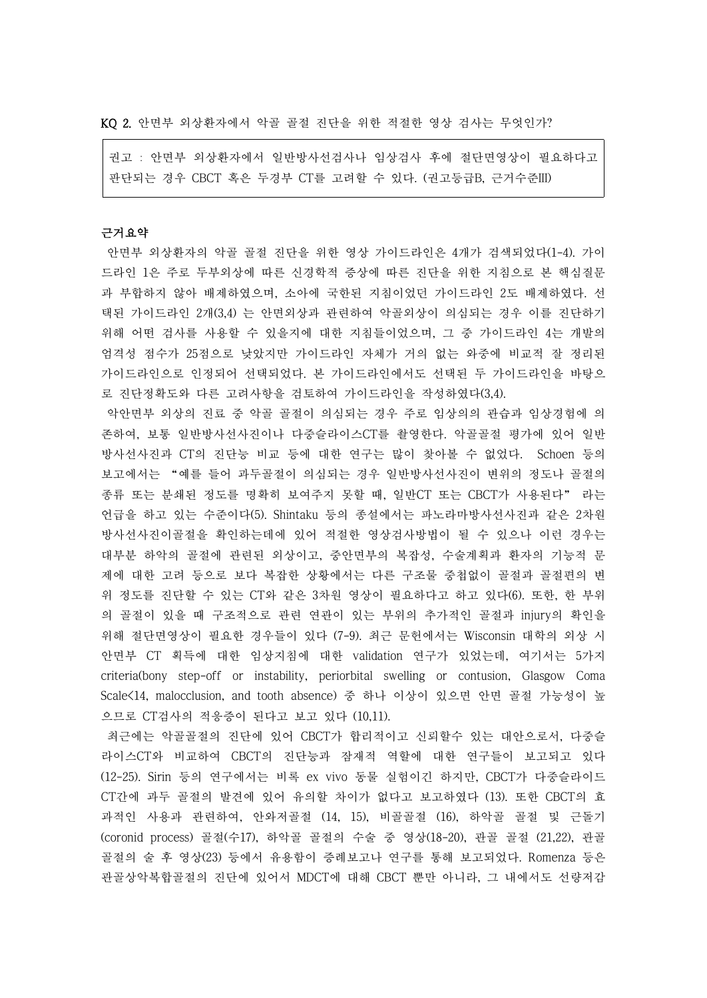KQ 2. 안면부 외상환자에서 악골 골절 진단을 위한 적절한 영상 검사는 무엇인가?

권고 : 안면부 외상환자에서 일반방사선검사나 임상검사 후에 절단면영상이 필요하다고 판단되는 경우 CBCT 혹은 두경부 CT를 고려할 수 있다. (권고등급B, 근거수준III)

# 근거요약

안면부 외상환자의 악골 골절 진단을 위한 영상 가이드라인은 4개가 검색되었다(1-4). 가이 드라인 1은 주로 두부외상에 따른 신경학적 증상에 따른 진단을 위한 지침으로 본 핵심질문 과 부합하지 않아 배제하였으며, 소아에 국한된 지침이었던 가이드라인 2도 배제하였다. 선 택된 가이드라인 2개(3,4) 는 안면외상과 관련하여 악골외상이 의심되는 경우 이를 진단하기 위해 어떤 검사를 사용할 수 있을지에 대한 지침들이었으며, 그 중 가이드라인 4는 개발의 엄격성 점수가 25점으로 낮았지만 가이드라인 자체가 거의 없는 와중에 비교적 잘 정리된 가이드라인으로 인정되어 선택되었다. 본 가이드라인에서도 선택된 두 가이드라인을 바탕으 로 진단정확도와 다른 고려사항을 검토하여 가이드라인을 작성하였다(3,4).

악안면부 외상의 진료 중 악골 골절이 의심되는 경우 주로 임상의의 관습과 임상경험에 의 존하여, 보통 일반방사선사진이나 다중슬라이스CT를 촬영한다. 악골골절 평가에 있어 일반 방사선사진과 CT의 진단능 비교 등에 대한 연구는 많이 찾아볼 수 없었다. Schoen 등의 보고에서는 "예를 들어 과두골절이 의심되는 경우 일반방사선사진이 변위의 정도나 골절의 종류 또는 분쇄된 정도를 명확히 보여주지 못할 때, 일반CT 또는 CBCT가 사용된다" 라는 언급을 하고 있는 수준이다(5). Shintaku 등의 종설에서는 파노라마방사선사진과 같은 2차원 방사선사진이골절을 확인하는데에 있어 적절한 영상검사방법이 될 수 있으나 이런 경우는 대부분 하악의 골절에 관련된 외상이고, 중안면부의 복잡성, 수술계획과 환자의 기능적 문 제에 대한 고려 등으로 보다 복잡한 상황에서는 다른 구조물 중첩없이 골절과 골절편의 변 위 정도를 진단할 수 있는 CT와 같은 3차원 영상이 필요하다고 하고 있다(6). 또한, 한 부위 의 골절이 있을 때 구조적으로 관련 연관이 있는 부위의 추가적인 골절과 injury의 확인을 위해 절단면영상이 필요한 경우들이 있다 (7-9). 최근 문헌에서는 Wisconsin 대학의 외상 시 안면부 CT 획득에 대한 임상지침에 대한 validation 연구가 있었는데, 여기서는 5가지 criteria(bony step-off or instability, periorbital swelling or contusion, Glasgow Coma Scale<14, malocclusion, and tooth absence) 중 하나 이상이 있으면 안면 골절 가능성이 높 으므로 CT검사의 적응증이 된다고 보고 있다 (10,11).

최근에는 악골골절의 진단에 있어 CBCT가 합리적이고 신뢰할수 있는 대안으로서, 다중슬 라이스CT와 비교하여 CBCT의 진단능과 잠재적 역할에 대한 연구들이 보고되고 있다 (12-25). Sirin 등의 연구에서는 비록 ex vivo 동물 실험이긴 하지만, CBCT가 다중슬라이드 CT간에 과두 골절의 발견에 있어 유의할 차이가 없다고 보고하였다 (13). 또한 CBCT의 효 과적인 사용과 관련하여, 안와저골절 (14, 15), 비골골절 (16), 하악골 골절 및 근돌기 (coronid process) 골절(수17), 하악골 골절의 수술 중 영상(18-20), 관골 골절 (21,22), 관골 골절의 술 후 영상(23) 등에서 유용함이 증례보고나 연구를 통해 보고되었다. Romenza 등은 관골상악복합골절의 진단에 있어서 MDCT에 대해 CBCT 뿐만 아니라, 그 내에서도 선량저감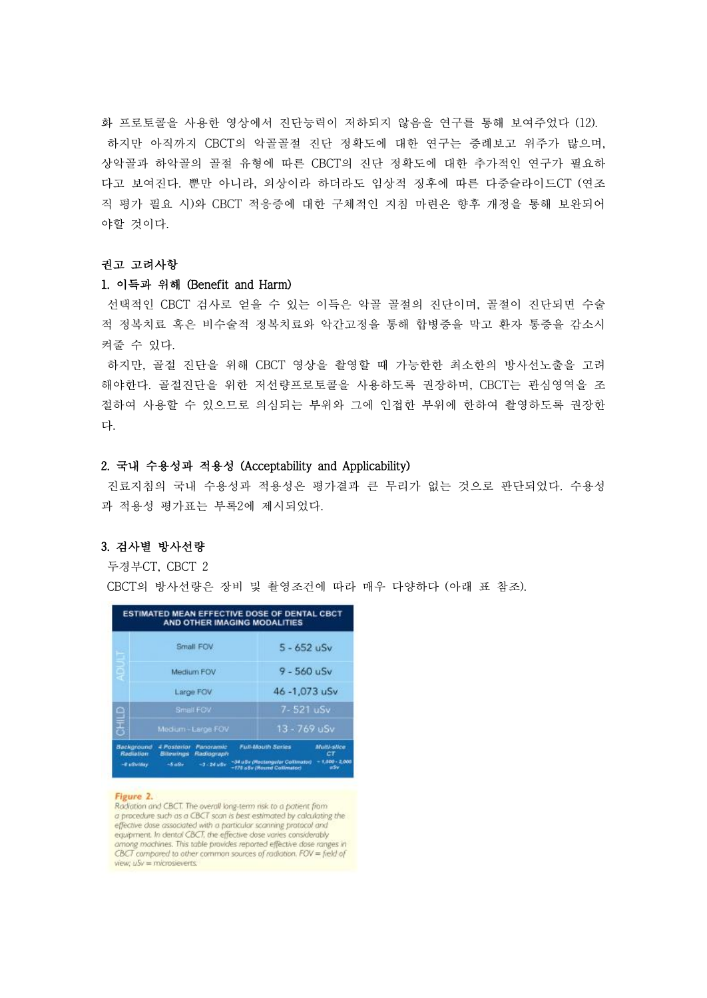화 프로토콜을 사용한 영상에서 진단능력이 저하되지 않음을 연구를 통해 보여주었다 (12). 하지만 아직까지 CBCT의 악골골절 진단 정확도에 대한 연구는 증례보고 위주가 많으며,<br>상악골과 하악골의 골절 유형에 따른 CBCT의 진단 정확도에 대한 추가적인 연구가 필요하 다고 보여진다. 뿐만 아니라, 외상이라 하더라도 임상적 징후에 따른 다중슬라이드CT (연조 직 평가 필요 시)와 CBCT 적응증에 대한 구체적인 지침 마련은 향후 개정을 통해 보완되어 야할 것이다.<br>**권고 고려사항** 

## 1. 이득과 위해 (Benefit and Harm)

선택적인 CBCT 검사로 얻을 수 있는 이득은 악골 골절의 진단이며, 골절이 진단되면 수술 적 정복치료 혹은 비수술적 정복치료와 악간고정을 통해 합병증을 막고 환자 통증을 감소시 켜줄 수 있다.

하지만, 골절 진단을 위해 CBCT 영상을 촬영할 때 가능한한 최소한의 방사선노출을 고려 해야한다. 골절진단을 위한 저선량프로토콜을 사용하도록 권장하며, CBCT는 관심영역을 조 절하여 사용할 수 있으므로 의심되는 부위와 그에 인접한 부위에 한하여 촬영하도록 권장한 다.

## 2. 국내 수용성과 적용성 (Acceptability and Applicability)

진료지침의 국내 수용성과 적용성은 평가결과 큰 무리가 없는 것으로 판단되었다. 수용성 과 적용성 평가표는 부록2에 제시되었다.

# 3. 검사별 방사선량

두경부CT, CBCT 2

CBCT의 방사선량은 장비 및 촬영조건에 따라 매우 다양하다 (아래 표 참조).

|                                               |                                                                                    | ESTIMATED MEAN EFFECTIVE DOSE OF DENTAL CBCT<br>AND OTHER IMAGING MODALITIES                |                                                   |
|-----------------------------------------------|------------------------------------------------------------------------------------|---------------------------------------------------------------------------------------------|---------------------------------------------------|
| Е                                             | Small FOV                                                                          | $5 - 652$ uSv                                                                               |                                                   |
| ę                                             | Medium FOV                                                                         | $9 - 560$ uSv                                                                               |                                                   |
|                                               | Large FOV                                                                          | 46 - 1,073 uSv                                                                              |                                                   |
|                                               | Small FOV                                                                          | 7-521 uSv                                                                                   |                                                   |
| <b>OHIIO</b>                                  | Medium - Large FOV                                                                 | $13 - 769$ uSv                                                                              |                                                   |
| Background<br><b>Rediation</b><br>-8 advising | Panoramic<br>4 Posterior<br>Bitewings<br>Radiograph<br>$-3 - 24$ $u8v$<br>$-5$ aSv | <b>Full-Mouth Series</b><br>~34 uSv (Rectangular Collimator)<br>-174 aSv (Round Collimator) | <b>Multi-slice</b><br>CT<br>$+400 - 2.000$<br>aSv |

#### Figure 2.

Radiation and CBCT. The overall long-term risk to a patient from a procedure such as a CBCT scan is best estimated by calculating the effective dase associated with a particular scanning protocol and equipment. In dental CBCT, the effective dose varies considerably among machines. This table provides reported effective dase ranges in CBCT compared to other common sources of radiotion. FOV = field of view:  $uSv = m$ icrosieverts.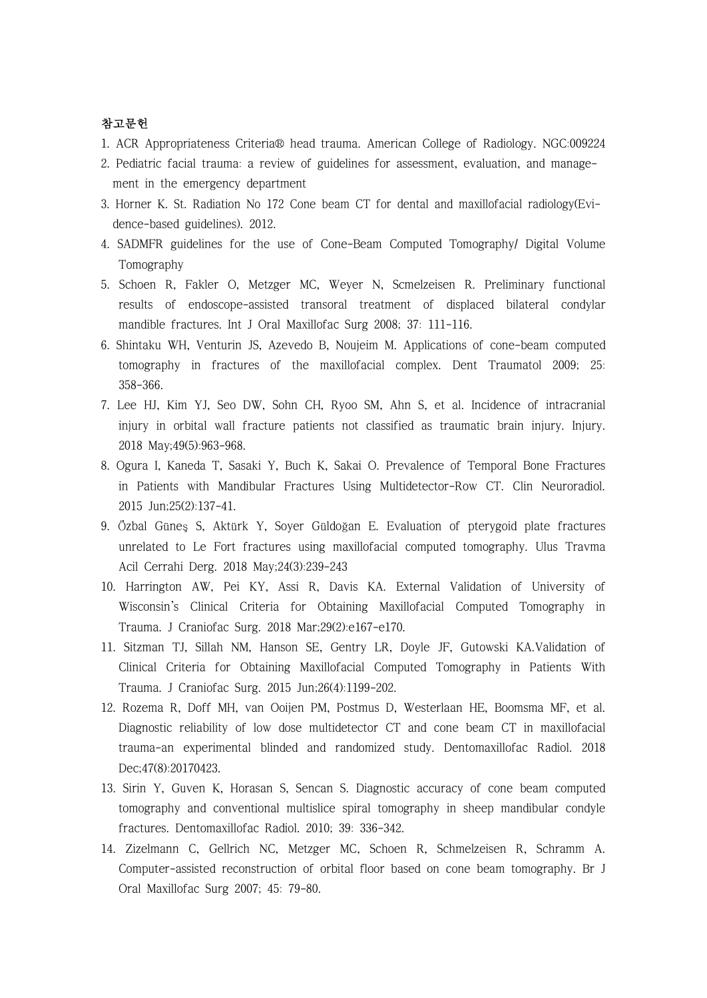# 참고문헌

- 1. ACR Appropriateness Criteria® head trauma. American College of Radiology. NGC:009224
- 2. Pediatric facial trauma: a review of guidelines for assessment, evaluation, and manage ment in the emergency department
- 3. Horner K. St. Radiation No 172 Cone beam CT for dental and maxillofacial radiology(Evi dence-based guidelines). 2012.
- 4. SADMFR guidelines for the use of Cone-Beam Computed Tomography/ Digital Volume Tomography
- 5. Schoen R, Fakler O, Metzger MC, Weyer N, Scmelzeisen R. Preliminary functional results of endoscope-assisted transoral treatment of displaced bilateral condylar mandible fractures. Int J Oral Maxillofac Surg 2008; 37: 111-116.
- 6. Shintaku WH, Venturin JS, Azevedo B, Noujeim M. Applications of cone-beam computed tomography in fractures of the maxillofacial complex. Dent Traumatol 2009; 25: 358-366.
- 7. Lee HJ, Kim YJ, Seo DW, Sohn CH, Ryoo SM, Ahn S, et al. Incidence of intracranial injury in orbital wall fracture patients not classified as traumatic brain injury. Injury. 2018 May;49(5):963-968.
- 8. Ogura I, Kaneda T, Sasaki Y, Buch K, Sakai O. Prevalence of Temporal Bone Fractures in Patients with Mandibular Fractures Using Multidetector-Row CT. Clin Neuroradiol. 2015 Jun;25(2):137-41.
- 9. Özbal Güneş S, Aktürk Y, Soyer Güldoğan E. Evaluation of pterygoid plate fractures unrelated to Le Fort fractures using maxillofacial computed tomography. Ulus Travma Acil Cerrahi Derg. 2018 May;24(3):239-243
- 10. Harrington AW, Pei KY, Assi R, Davis KA. External Validation of University of Wisconsin's Clinical Criteria for Obtaining Maxillofacial Computed Tomography in Trauma. J Craniofac Surg. 2018 Mar;29(2):e167-e170.
- 11. Sitzman TJ, Sillah NM, Hanson SE, Gentry LR, Doyle JF, Gutowski KA.Validation of Clinical Criteria for Obtaining Maxillofacial Computed Tomography in Patients With Trauma. J Craniofac Surg. 2015 Jun;26(4):1199-202.
- 12. Rozema R, Doff MH, van Ooijen PM, Postmus D, Westerlaan HE, Boomsma MF, et al. Diagnostic reliability of low dose multidetector CT and cone beam CT in maxillofacial trauma-an experimental blinded and randomized study. Dentomaxillofac Radiol. 2018 Dec;47(8):20170423.
- 13. Sirin Y, Guven K, Horasan S, Sencan S. Diagnostic accuracy of cone beam computed tomography and conventional multislice spiral tomography in sheep mandibular condyle fractures. Dentomaxillofac Radiol. 2010; 39: 336-342.
- 14. Zizelmann C, Gellrich NC, Metzger MC, Schoen R, Schmelzeisen R, Schramm A. Computer-assisted reconstruction of orbital floor based on cone beam tomography. Br J Oral Maxillofac Surg 2007; 45: 79-80.